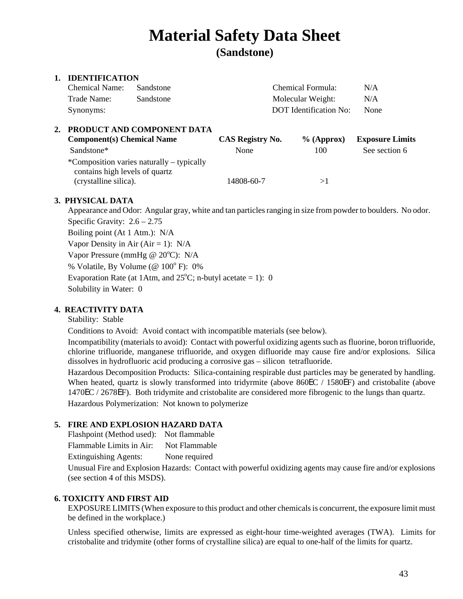# **Material Safety Data Sheet**

**(Sandstone)** 

# **1. IDENTIFICATION**

| Chemical Name: | Sandstone | Chemical Formula:      | N/A  |
|----------------|-----------|------------------------|------|
| Trade Name:    | Sandstone | Molecular Weight:      | N/A  |
| Synonyms:      |           | DOT Identification No: | None |

| PRODUCT AND COMPONENT DATA                                                  |                  |            |                        |  |
|-----------------------------------------------------------------------------|------------------|------------|------------------------|--|
| <b>Component(s) Chemical Name</b>                                           | CAS Registry No. | % (Approx) | <b>Exposure Limits</b> |  |
| Sandstone*                                                                  | None             | 100        | See section 6          |  |
| *Composition varies naturally – typically<br>contains high levels of quartz |                  |            |                        |  |
| (crystalline silica).                                                       | 14808-60-7       |            |                        |  |

# **3. PHYSICAL DATA**

Appearance and Odor: Angular gray, white and tan particles ranging in size from powder to boulders. No odor. Specific Gravity:  $2.6 - 2.75$ Boiling point (At 1 Atm.): N/A Vapor Density in Air (Air = 1):  $N/A$ Vapor Pressure (mmHg @ 20°C): N/A % Volatile, By Volume (@  $100^{\circ}$  F): 0% Evaporation Rate (at 1Atm, and  $25^{\circ}$ C; n-butyl acetate = 1): 0 Solubility in Water: 0

# **4. REACTIVITY DATA**

Stability: Stable

Conditions to Avoid: Avoid contact with incompatible materials (see below).

Incompatibility (materials to avoid): Contact with powerful oxidizing agents such as fluorine, boron trifluoride, chlorine trifluoride, manganese trifluoride, and oxygen difluoride may cause fire and/or explosions. Silica dissolves in hydrofluoric acid producing a corrosive gas – silicon tetrafluoride.

Hazardous Decomposition Products: Silica-containing respirable dust particles may be generated by handling. When heated, quartz is slowly transformed into tridyrmite (above 860EC / 1580EF) and cristobalite (above 1470EC / 2678EF). Both tridymite and cristobalite are considered more fibrogenic to the lungs than quartz. Hazardous Polymerization: Not known to polymerize

# **5. FIRE AND EXPLOSION HAZARD DATA**

Flashpoint (Method used): Not flammable

Flammable Limits in Air: Not Flammable

Extinguishing Agents: None required

Unusual Fire and Explosion Hazards: Contact with powerful oxidizing agents may cause fire and/or explosions (see section 4 of this MSDS).

## **6. TOXICITY AND FIRST AID**

EXPOSURE LIMITS (When exposure to this product and other chemicals is concurrent, the exposure limit must be defined in the workplace.)

Unless specified otherwise, limits are expressed as eight-hour time-weighted averages (TWA). Limits for cristobalite and tridymite (other forms of crystal line silica) are equal to one-half of the limits for quartz.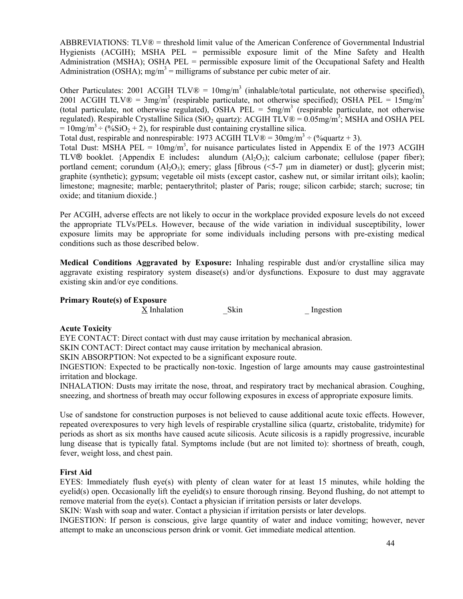ABBREVIATIONS: TLV® = threshold limit value of the American Conference of Governmental Industrial Hygienists (ACGIH); MSHA PEL = permissible exposure limit of the Mine Safety and Health Administration (MSHA); OSHA PEL = permissible exposure limit of the Occupational Safety and Health Administration (OSHA); mg/m<sup>3</sup> = milligrams of substance per cubic meter of air.

Other Particulates: 2001 ACGIH TLV $\mathcal{D} = 10$ mg/m<sup>3</sup> (inhalable/total particulate, not otherwise specified), 2001 ACGIH TLV $\mathbb{D} = 3$ mg/m<sup>3</sup> (respirable particulate, not otherwise specified); OSHA PEL = 15mg/m<sup>3</sup> (total particulate, not otherwise regulated), OSHA PEL =  $5mg/m<sup>3</sup>$  (respirable particulate, not otherwise regulated). Respirable Crystalline Silica (SiO<sub>2</sub> quartz): ACGIH TLV® =  $0.05$ mg/m<sup>3</sup>; MSHA and OSHA PEL  $= 10$ mg/m<sup>3</sup> ÷ (%SiO<sub>2</sub> + 2), for respirable dust containing crystalline silica.

Total dust, respirable and nonrespirable: 1973 ACGIH TLV $\mathcal{R} = 30$ mg/m<sup>3</sup> ÷ (%quartz + 3).

Total Dust: MSHA PEL =  $10mg/m^3$ , for nuisance particulates listed in Appendix E of the 1973 ACGIH TLV<sup>®</sup> booklet. {Appendix E includes: alundum (Al<sub>2</sub>O<sub>3</sub>); calcium carbonate; cellulose (paper fiber); portland cement; corundum  $(A_1O_3)$ ; emery; glass [fibrous  $(\leq 5.7 \mu m)$  in diameter) or dust]; glycerin mist; graphite (synthetic); gypsum; vegetable oil mists (except castor, cashew nut, or similar irritant oils); kaolin; limestone; magnesite; marble; pentaerythritol; plaster of Paris; rouge; silicon carbide; starch; sucrose; tin oxide; and titanium dioxide.}

Per ACGIH, adverse effects are not likely to occur in the workplace provided exposure levels do not exceed the appropriate TLVs/PELs. However, because of the wide variation in individual susceptibility, lower exposure limits may be appropriate for some individuals including persons with pre-existing medical conditions such as those described below.

**Medical Conditions Aggravated by Exposure:** Inhaling respirable dust and/or crystalline silica may aggravate existing respiratory system disease(s) and/or dysfunctions. Exposure to dust may aggravate existing skin and/or eye conditions.

## **Primary Route(s) of Exposure**

X Inhalation Skin Ingestion

# **Acute Toxicity**

EYE CONTACT: Direct contact with dust may cause irritation by mechanical abrasion.

SKIN CONTACT: Direct contact may cause irritation by mechanical abrasion.

SKIN ABSORPTION: Not expected to be a significant exposure route.

INGESTION: Expected to be practically non-toxic. Ingestion of large amounts may cause gastrointestinal irritation and blockage.

INHALATION: Dusts may irritate the nose, throat, and respiratory tract by mechanical abrasion. Coughing, sneezing, and shortness of breath may occur following exposures in excess of appropriate exposure limits.

Use of sandstone for construction purposes is not believed to cause additional acute toxic effects. However, repeated overexposures to very high levels of respirable crystalline silica (quartz, cristobalite, tridymite) for periods as short as six months have caused acute silicosis. Acute silicosis is a rapidly progressive, incurable lung disease that is typically fatal. Symptoms include (but are not limited to): shortness of breath, cough, fever, weight loss, and chest pain.

# **First Aid**

EYES: Immediately flush eye(s) with plenty of clean water for at least 15 minutes, while holding the eyelid(s) open. Occasionally lift the eyelid(s) to ensure thorough rinsing. Beyond flushing, do not attempt to remove material from the eye(s). Contact a physician if irritation persists or later develops.

SKIN: Wash with soap and water. Contact a physician if irritation persists or later develops.

INGESTION: If person is conscious, give large quantity of water and induce vomiting; however, never attempt to make an unconscious person drink or vomit. Get immediate medical attention.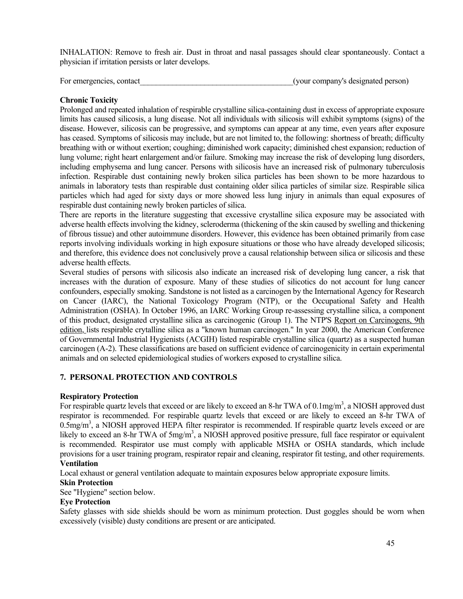INHALATION: Remove to fresh air. Dust in throat and nasal passages should clear spontaneously. Contact a physician if irritation persists or later develops.

For emergencies, contact the state of the state of the state of the state of the state of the state of the state of the state of the state of the state of the state of the state of the state of the state of the state of th

### **Chronic Toxicity**

Prolonged and repeated inhalation of respirable crystalline silica-containing dust in excess of appropriate exposure limits has caused silicosis, a lung disease. Not all individuals with silicosis will exhibit symptoms (signs) of the disease. However, silicosis can be progressive, and symptoms can appear at any time, even years after exposure has ceased. Symptoms of silicosis may include, but are not limited to, the following: shortness of breath; difficulty breathing with or without exertion; coughing; diminished work capacity; diminished chest expansion; reduction of lung volume; right heart enlargement and/or failure. Smoking may increase the risk of developing lung disorders, including emphysema and lung cancer. Persons with silicosis have an increased risk of pulmonary tuberculosis infection. Respirable dust containing newly broken silica particles has been shown to be more hazardous to animals in laboratory tests than respirable dust containing older silica particles of similar size. Respirable silica particles which had aged for sixty days or more showed less lung injury in animals than equal exposures of respirable dust containing newly broken particles of silica.

There are reports in the literature suggesting that excessive crystalline silica exposure may be associated with adverse health effects involving the kidney, scleroderma (thickening of the skin caused by swelling and thickening of fibrous tissue) and other autoimmune disorders. However, this evidence has been obtained primarily from case reports involving individuals working in high exposure situations or those who have already developed silicosis; and therefore, this evidence does not conclusively prove a causal relationship between silica or silicosis and these adverse health effects.

Several studies of persons with silicosis also indicate an increased risk of developing lung cancer, a risk that increases with the duration of exposure. Many of these studies of silicotics do not account for lung cancer confounders, especially smoking. Sandstone is not listed as a carcinogen by the International Agency for Research on Cancer (IARC), the National Toxicology Program (NTP), or the Occupational Safety and Health Administration (OSHA). In October 1996, an IARC Working Group re-assessing crystalline silica, a component of this product, designated crystalline silica as carcinogenic (Group 1). The NTP'S Report on Carcinogens, 9th edition, lists respirable crytalline silica as a "known human carcinogen." In year 2000, the American Conference of Governmental Industrial Hygienists (ACGIH) listed respirable crystalline silica (quartz) as a suspected human carcinogen (A-2). These classifications are based on sufficient evidence of carcinogenicity in certain experimental animals and on selected epidemiological studies of workers exposed to crystalline silica.

## **7. PERSONAL PROTECTION AND CONTROLS**

## **Respiratory Protection**

For respirable quartz levels that exceed or are likely to exceed an 8-hr TWA of 0.1mg/m<sup>3</sup>, a NIOSH approved dust respirator is recommended. For respirable quartz levels that exceed or are likely to exceed an 8-hr TWA of  $0.5$ mg/m<sup>3</sup>, a NIOSH approved HEPA filter respirator is recommended. If respirable quartz levels exceed or are likely to exceed an 8-hr TWA of 5mg/m<sup>3</sup>, a NIOSH approved positive pressure, full face respirator or equivalent is recommended. Respirator use must comply with applicable MSHA or OSHA standards, which include provisions for a user training program, respirator repair and cleaning, respirator fit testing, and other requirements. **Ventilation** 

Local exhaust or general ventilation adequate to maintain exposures below appropriate exposure limits.

#### **Skin Protection**

See "Hygiene" section below.

#### **Eye Protection**

Safety glasses with side shields should be worn as minimum protection. Dust goggles should be worn when excessively (visible) dusty conditions are present or are anticipated.